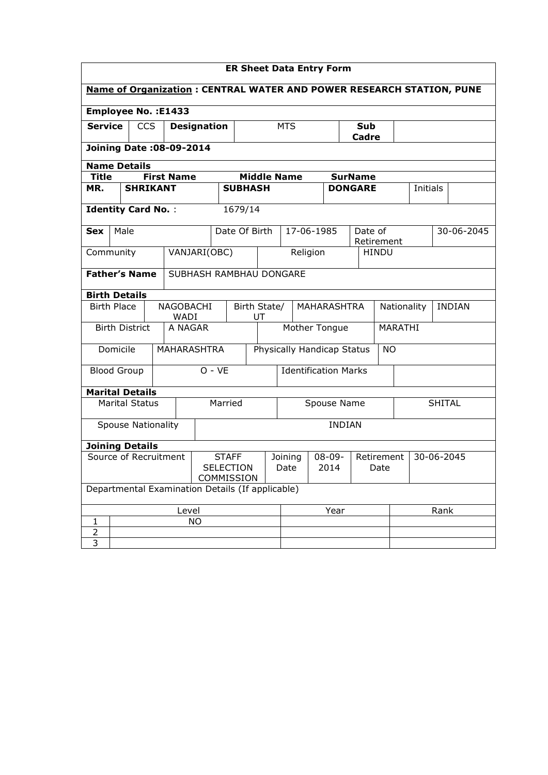| <b>ER Sheet Data Entry Form</b>                                             |                                                    |                       |                                                |                                                      |            |                             |             |                    |                              |      |                |                       |  |          |  |            |
|-----------------------------------------------------------------------------|----------------------------------------------------|-----------------------|------------------------------------------------|------------------------------------------------------|------------|-----------------------------|-------------|--------------------|------------------------------|------|----------------|-----------------------|--|----------|--|------------|
| <b>Name of Organization: CENTRAL WATER AND POWER RESEARCH STATION, PUNE</b> |                                                    |                       |                                                |                                                      |            |                             |             |                    |                              |      |                |                       |  |          |  |            |
|                                                                             | <b>Employee No.: E1433</b>                         |                       |                                                |                                                      |            |                             |             |                    |                              |      |                |                       |  |          |  |            |
|                                                                             | <b>Service</b><br><b>CCS</b><br><b>Designation</b> |                       |                                                |                                                      | <b>MTS</b> |                             |             |                    | Sub<br>Cadre                 |      |                |                       |  |          |  |            |
|                                                                             |                                                    |                       | Joining Date: 08-09-2014                       |                                                      |            |                             |             |                    |                              |      |                |                       |  |          |  |            |
|                                                                             | <b>Name Details</b>                                |                       |                                                |                                                      |            |                             |             |                    |                              |      |                |                       |  |          |  |            |
| <b>Title</b>                                                                |                                                    |                       | <b>First Name</b>                              |                                                      |            |                             |             | <b>Middle Name</b> |                              |      | <b>SurName</b> |                       |  |          |  |            |
| MR.                                                                         |                                                    |                       | <b>SHRIKANT</b>                                |                                                      |            | <b>SUBHASH</b>              |             |                    |                              |      | <b>DONGARE</b> |                       |  | Initials |  |            |
|                                                                             |                                                    |                       | <b>Identity Card No.:</b>                      |                                                      |            | 1679/14                     |             |                    |                              |      |                |                       |  |          |  |            |
| <b>Sex</b>                                                                  | Male                                               |                       |                                                |                                                      |            | Date Of Birth               |             |                    | 17-06-1985                   |      |                | Date of<br>Retirement |  |          |  | 30-06-2045 |
| Community                                                                   |                                                    |                       |                                                | VANJARI(OBC)                                         |            |                             |             |                    | Religion                     |      |                | <b>HINDU</b>          |  |          |  |            |
|                                                                             | <b>Father's Name</b><br>SUBHASH RAMBHAU DONGARE    |                       |                                                |                                                      |            |                             |             |                    |                              |      |                |                       |  |          |  |            |
| <b>Birth Details</b>                                                        |                                                    |                       |                                                |                                                      |            |                             |             |                    |                              |      |                |                       |  |          |  |            |
| <b>Birth Place</b><br>NAGOBACHI<br>WADI                                     |                                                    |                       |                                                | Birth State/<br>MAHARASHTRA<br>UT                    |            |                             |             |                    | <b>INDIAN</b><br>Nationality |      |                |                       |  |          |  |            |
|                                                                             |                                                    | <b>Birth District</b> |                                                | A NAGAR                                              |            | Mother Tongue               |             |                    |                              |      | <b>MARATHI</b> |                       |  |          |  |            |
|                                                                             | Domicile                                           |                       |                                                | MAHARASHTRA                                          |            | Physically Handicap Status  |             |                    |                              |      | <b>NO</b>      |                       |  |          |  |            |
| <b>Blood Group</b>                                                          |                                                    |                       |                                                |                                                      | $O - VE$   | <b>Identification Marks</b> |             |                    |                              |      |                |                       |  |          |  |            |
| <b>Marital Details</b>                                                      |                                                    |                       |                                                |                                                      |            |                             |             |                    |                              |      |                |                       |  |          |  |            |
|                                                                             |                                                    | <b>Marital Status</b> |                                                |                                                      | Married    |                             | Spouse Name |                    |                              |      |                | <b>SHITAL</b>         |  |          |  |            |
|                                                                             |                                                    |                       | <b>Spouse Nationality</b>                      |                                                      |            |                             |             |                    |                              |      | <b>INDIAN</b>  |                       |  |          |  |            |
| <b>Joining Details</b>                                                      |                                                    |                       |                                                |                                                      |            |                             |             |                    |                              |      |                |                       |  |          |  |            |
| Source of Recruitment                                                       |                                                    |                       | <b>STAFF</b><br><b>SELECTION</b><br>COMMISSION | $08 - 09 -$<br>Retirement<br>Joining<br>2014<br>Date |            |                             | Date        | 30-06-2045         |                              |      |                |                       |  |          |  |            |
| Departmental Examination Details (If applicable)                            |                                                    |                       |                                                |                                                      |            |                             |             |                    |                              |      |                |                       |  |          |  |            |
| Level                                                                       |                                                    |                       |                                                |                                                      |            | Year                        |             |                    |                              | Rank |                |                       |  |          |  |            |
| 1                                                                           |                                                    |                       |                                                | <b>NO</b>                                            |            |                             |             |                    |                              |      |                |                       |  |          |  |            |
| $\overline{c}$<br>$\overline{3}$                                            |                                                    |                       |                                                |                                                      |            |                             |             |                    |                              |      |                |                       |  |          |  |            |
|                                                                             |                                                    |                       |                                                |                                                      |            |                             |             |                    |                              |      |                |                       |  |          |  |            |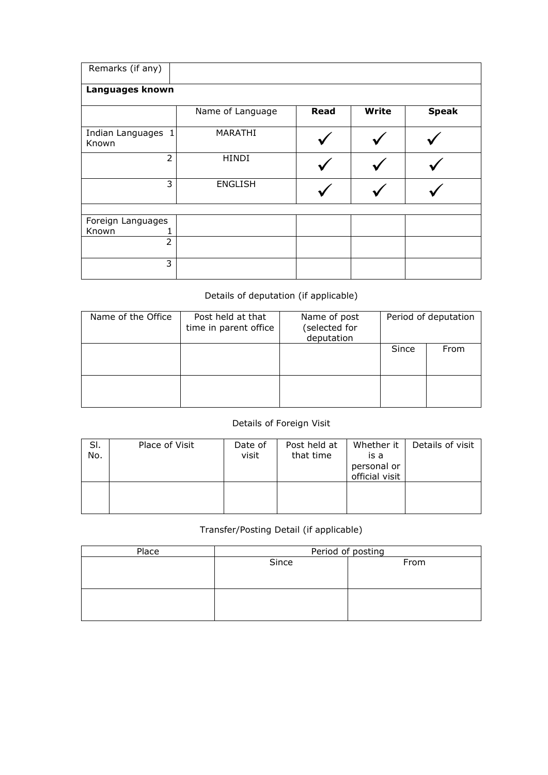| Remarks (if any)           |                  |             |              |              |
|----------------------------|------------------|-------------|--------------|--------------|
| Languages known            |                  |             |              |              |
|                            | Name of Language | <b>Read</b> | <b>Write</b> | <b>Speak</b> |
| Indian Languages<br>Known  | MARATHI          |             |              |              |
| $\overline{2}$             | <b>HINDI</b>     |             |              |              |
| 3                          | <b>ENGLISH</b>   |             |              |              |
|                            |                  |             |              |              |
| Foreign Languages<br>Known |                  |             |              |              |
| $\overline{2}$             |                  |             |              |              |
| 3                          |                  |             |              |              |

## Details of deputation (if applicable)

| Name of the Office | Post held at that<br>time in parent office | Name of post<br>(selected for<br>deputation | Period of deputation |      |  |
|--------------------|--------------------------------------------|---------------------------------------------|----------------------|------|--|
|                    |                                            |                                             | Since                | From |  |
|                    |                                            |                                             |                      |      |  |

## Details of Foreign Visit

| SI.<br>No. | Place of Visit | Date of<br>visit | Post held at<br>that time | Whether it<br>is a<br>personal or<br>official visit | Details of visit |
|------------|----------------|------------------|---------------------------|-----------------------------------------------------|------------------|
|            |                |                  |                           |                                                     |                  |

## Transfer/Posting Detail (if applicable)

| Place | Period of posting |      |  |  |  |  |  |
|-------|-------------------|------|--|--|--|--|--|
|       | Since             | From |  |  |  |  |  |
|       |                   |      |  |  |  |  |  |
|       |                   |      |  |  |  |  |  |
|       |                   |      |  |  |  |  |  |
|       |                   |      |  |  |  |  |  |
|       |                   |      |  |  |  |  |  |